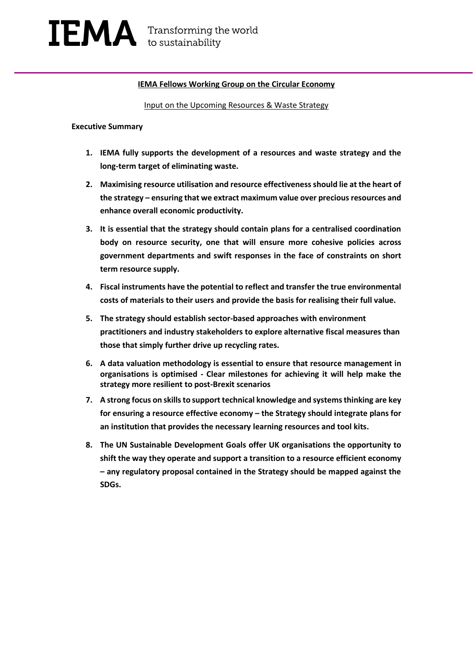### **IEMA Fellows Working Group on the Circular Economy**

Input on the Upcoming Resources & Waste Strategy

**Executive Summary** 

- **1. IEMA fully supports the development of a resources and waste strategy and the long-term target of eliminating waste.**
- **2. Maximising resource utilisation and resource effectiveness should lie at the heart of the strategy – ensuring that we extract maximum value over precious resources and enhance overall economic productivity.**
- **3. It is essential that the strategy should contain plans for a centralised coordination body on resource security, one that will ensure more cohesive policies across government departments and swift responses in the face of constraints on short term resource supply.**
- **4. Fiscal instruments have the potential to reflect and transfer the true environmental costs of materials to their users and provide the basis for realising their full value.**
- **5. The strategy should establish sector-based approaches with environment practitioners and industry stakeholders to explore alternative fiscal measures than those that simply further drive up recycling rates.**
- **6. A data valuation methodology is essential to ensure that resource management in organisations is optimised - Clear milestones for achieving it will help make the strategy more resilient to post-Brexit scenarios**
- **7. A strong focus on skills to support technical knowledge and systems thinking are key for ensuring a resource effective economy – the Strategy should integrate plans for an institution that provides the necessary learning resources and tool kits.**
- **8. The UN Sustainable Development Goals offer UK organisations the opportunity to shift the way they operate and support a transition to a resource efficient economy – any regulatory proposal contained in the Strategy should be mapped against the SDGs.**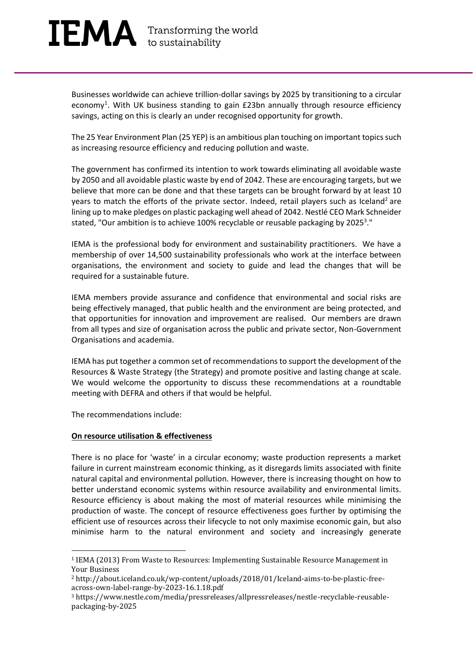# **Transforming the world**

Businesses worldwide can achieve trillion-dollar savings by 2025 by transitioning to a circular economy<sup>1</sup>. With UK business standing to gain £23bn annually through resource efficiency savings, acting on this is clearly an under recognised opportunity for growth.

The 25 Year Environment Plan (25 YEP) is an ambitious plan touching on important topics such as increasing resource efficiency and reducing pollution and waste.

The government has confirmed its intention to work towards eliminating all avoidable waste by 2050 and all avoidable plastic waste by end of 2042. These are encouraging targets, but we believe that more can be done and that these targets can be brought forward by at least 10 years to match the efforts of the private sector. Indeed, retail players such as Iceland<sup>2</sup> are lining up to make pledges on plastic packaging well ahead of 2042. Nestlé CEO Mark Schneider stated, "Our ambition is to achieve 100% recyclable or reusable packaging by 2025<sup>3</sup>."

IEMA is the professional body for environment and sustainability practitioners. We have a membership of over 14,500 sustainability professionals who work at the interface between organisations, the environment and society to guide and lead the changes that will be required for a sustainable future.

IEMA members provide assurance and confidence that environmental and social risks are being effectively managed, that public health and the environment are being protected, and that opportunities for innovation and improvement are realised. Our members are drawn from all types and size of organisation across the public and private sector, Non-Government Organisations and academia.

IEMA has put together a common set of recommendations to support the development of the Resources & Waste Strategy (the Strategy) and promote positive and lasting change at scale. We would welcome the opportunity to discuss these recommendations at a roundtable meeting with DEFRA and others if that would be helpful.

The recommendations include:

 $\overline{a}$ 

#### **On resource utilisation & effectiveness**

There is no place for 'waste' in a circular economy; waste production represents a market failure in current mainstream economic thinking, as it disregards limits associated with finite natural capital and environmental pollution. However, there is increasing thought on how to better understand economic systems within resource availability and environmental limits. Resource efficiency is about making the most of material resources while minimising the production of waste. The concept of resource effectiveness goes further by optimising the efficient use of resources across their lifecycle to not only maximise economic gain, but also minimise harm to the natural environment and society and increasingly generate

<sup>1</sup> IEMA (2013) From Waste to Resources: Implementing Sustainable Resource Management in Your Business

<sup>2</sup> http://about.iceland.co.uk/wp-content/uploads/2018/01/Iceland-aims-to-be-plastic-freeacross-own-label-range-by-2023-16.1.18.pdf

<sup>3</sup> https://www.nestle.com/media/pressreleases/allpressreleases/nestle-recyclable-reusablepackaging-by-2025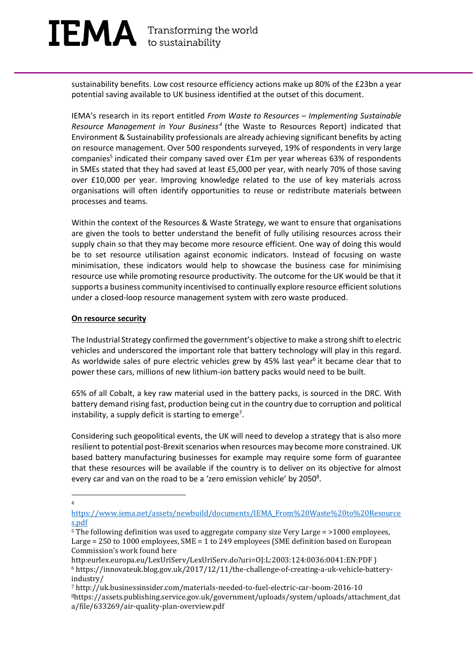# $[EMA]$  Transforming the world

sustainability benefits. Low cost resource efficiency actions make up 80% of the £23bn a year potential saving available to UK business identified at the outset of this document.

IEMA's research in its report entitled *From Waste to Resources – Implementing Sustainable Resource Management in Your Business<sup>4</sup>* (the Waste to Resources Report) indicated that Environment & Sustainability professionals are already achieving significant benefits by acting on resource management. Over 500 respondents surveyed, 19% of respondents in very large companies<sup>5</sup> indicated their company saved over £1m per year whereas 63% of respondents in SMEs stated that they had saved at least £5,000 per year, with nearly 70% of those saving over £10,000 per year. Improving knowledge related to the use of key materials across organisations will often identify opportunities to reuse or redistribute materials between processes and teams.

Within the context of the Resources & Waste Strategy, we want to ensure that organisations are given the tools to better understand the benefit of fully utilising resources across their supply chain so that they may become more resource efficient. One way of doing this would be to set resource utilisation against economic indicators. Instead of focusing on waste minimisation, these indicators would help to showcase the business case for minimising resource use while promoting resource productivity. The outcome for the UK would be that it supports a business community incentivised to continually explore resource efficient solutions under a closed-loop resource management system with zero waste produced.

#### **On resource security**

The Industrial Strategy confirmed the government's objective to make a strong shift to electric vehicles and underscored the important role that battery technology will play in this regard. As worldwide sales of pure electric vehicles grew by 45% last year<sup>6</sup> it became clear that to power these cars, millions of new lithium-ion battery packs would need to be built.

65% of all Cobalt, a key raw material used in the battery packs, is sourced in the DRC. With battery demand rising fast, production being cut in the country due to corruption and political instability, a supply deficit is starting to emerge<sup>7</sup>.

Considering such geopolitical events, the UK will need to develop a strategy that is also more resilient to potential post-Brexit scenarios when resources may become more constrained. UK based battery manufacturing businesses for example may require some form of guarantee that these resources will be available if the country is to deliver on its objective for almost every car and van on the road to be a 'zero emission vehicle' by 2050 $^{\circ}$ .

 $\overline{a}$ 4

[https://www.iema.net/assets/newbuild/documents/IEMA\\_From%20Waste%20to%20Resource](https://www.iema.net/assets/newbuild/documents/IEMA_From%20Waste%20to%20Resources.pdf) [s.pdf](https://www.iema.net/assets/newbuild/documents/IEMA_From%20Waste%20to%20Resources.pdf)

<sup>5</sup> The following definition was used to aggregate company size Very Large = >1000 employees, Large = 250 to 1000 employees, SME = 1 to 249 employees (SME definition based on European Commission's work found here

http:eurlex.europa.eu/LexUriServ/LexUriServ.do?uri=OJ:L:2003:124:0036:0041:EN:PDF ) <sup>6</sup> https://innovateuk.blog.gov.uk/2017/12/11/the-challenge-of-creating-a-uk-vehicle-batteryindustry/

<sup>7</sup> http://uk.businessinsider.com/materials-needed-to-fuel-electric-car-boom-2016-10

<sup>8</sup>https://assets.publishing.service.gov.uk/government/uploads/system/uploads/attachment\_dat a/file/633269/air-quality-plan-overview.pdf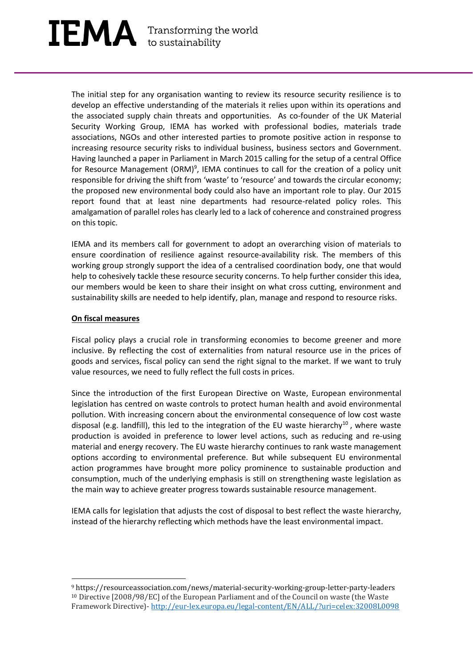# $\mathbf{IEMA}$  Transforming the world

The initial step for any organisation wanting to review its resource security resilience is to develop an effective understanding of the materials it relies upon within its operations and the associated supply chain threats and opportunities. As co-founder of the UK Material Security Working Group, IEMA has worked with professional bodies, materials trade associations, NGOs and other interested parties to promote positive action in response to increasing resource security risks to individual business, business sectors and Government. Having launched a paper in Parliament in March 2015 calling for the setup of a central Office for Resource Management (ORM)<sup>9</sup>, IEMA continues to call for the creation of a policy unit responsible for driving the shift from 'waste' to 'resource' and towards the circular economy; the proposed new environmental body could also have an important role to play. Our 2015 report found that at least nine departments had resource-related policy roles. This amalgamation of parallel roles has clearly led to a lack of coherence and constrained progress on this topic.

IEMA and its members call for government to adopt an overarching vision of materials to ensure coordination of resilience against resource-availability risk. The members of this working group strongly support the idea of a centralised coordination body, one that would help to cohesively tackle these resource security concerns. To help further consider this idea, our members would be keen to share their insight on what cross cutting, environment and sustainability skills are needed to help identify, plan, manage and respond to resource risks.

#### **On fiscal measures**

 $\overline{a}$ 

Fiscal policy plays a crucial role in transforming economies to become greener and more inclusive. By reflecting the cost of externalities from natural resource use in the prices of goods and services, fiscal policy can send the right signal to the market. If we want to truly value resources, we need to fully reflect the full costs in prices.

Since the introduction of the first European Directive on Waste, European environmental legislation has centred on waste controls to protect human health and avoid environmental pollution. With increasing concern about the environmental consequence of low cost waste disposal (e.g. landfill), this led to the integration of the EU waste hierarchy<sup>10</sup>, where waste production is avoided in preference to lower level actions, such as reducing and re-using material and energy recovery. The EU waste hierarchy continues to rank waste management options according to environmental preference. But while subsequent EU environmental action programmes have brought more policy prominence to sustainable production and consumption, much of the underlying emphasis is still on strengthening waste legislation as the main way to achieve greater progress towards sustainable resource management.

IEMA calls for legislation that adjusts the cost of disposal to best reflect the waste hierarchy, instead of the hierarchy reflecting which methods have the least environmental impact.

<sup>9</sup> https://resourceassociation.com/news/material-security-working-group-letter-party-leaders <sup>10</sup> Directive [2008/98/EC] of the European Parliament and of the Council on waste (the Waste Framework Directive)- <http://eur-lex.europa.eu/legal-content/EN/ALL/?uri=celex:32008L0098>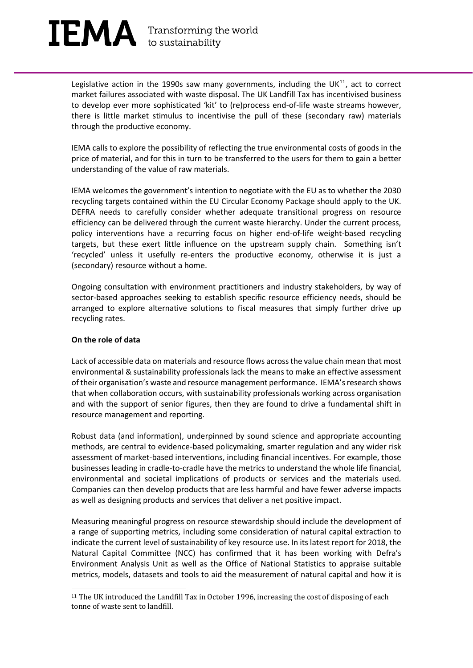# **Transforming the world**

Legislative action in the 1990s saw many governments, including the UK $^{11}$ , act to correct market failures associated with waste disposal. The UK Landfill Tax has incentivised business to develop ever more sophisticated 'kit' to (re)process end-of-life waste streams however, there is little market stimulus to incentivise the pull of these (secondary raw) materials through the productive economy.

IEMA calls to explore the possibility of reflecting the true environmental costs of goods in the price of material, and for this in turn to be transferred to the users for them to gain a better understanding of the value of raw materials.

IEMA welcomes the government's intention to negotiate with the EU as to whether the 2030 recycling targets contained within the EU Circular Economy Package should apply to the UK. DEFRA needs to carefully consider whether adequate transitional progress on resource efficiency can be delivered through the current waste hierarchy. Under the current process, policy interventions have a recurring focus on higher end-of-life weight-based recycling targets, but these exert little influence on the upstream supply chain. Something isn't 'recycled' unless it usefully re-enters the productive economy, otherwise it is just a (secondary) resource without a home.

Ongoing consultation with environment practitioners and industry stakeholders, by way of sector-based approaches seeking to establish specific resource efficiency needs, should be arranged to explore alternative solutions to fiscal measures that simply further drive up recycling rates.

### **On the role of data**

l

Lack of accessible data on materials and resource flows across the value chain mean that most environmental & sustainability professionals lack the means to make an effective assessment of their organisation's waste and resource management performance. IEMA's research shows that when collaboration occurs, with sustainability professionals working across organisation and with the support of senior figures, then they are found to drive a fundamental shift in resource management and reporting.

Robust data (and information), underpinned by sound science and appropriate accounting methods, are central to evidence-based policymaking, smarter regulation and any wider risk assessment of market-based interventions, including financial incentives. For example, those businesses leading in cradle-to-cradle have the metrics to understand the whole life financial, environmental and societal implications of products or services and the materials used. Companies can then develop products that are less harmful and have fewer adverse impacts as well as designing products and services that deliver a net positive impact.

Measuring meaningful progress on resource stewardship should include the development of a range of supporting metrics, including some consideration of natural capital extraction to indicate the current level of sustainability of key resource use. In its latest report for 2018, the Natural Capital Committee (NCC) has confirmed that it has been working with Defra's Environment Analysis Unit as well as the Office of National Statistics to appraise suitable metrics, models, datasets and tools to aid the measurement of natural capital and how it is

<sup>&</sup>lt;sup>11</sup> The UK introduced the Landfill Tax in October 1996, increasing the cost of disposing of each tonne of waste sent to landfill.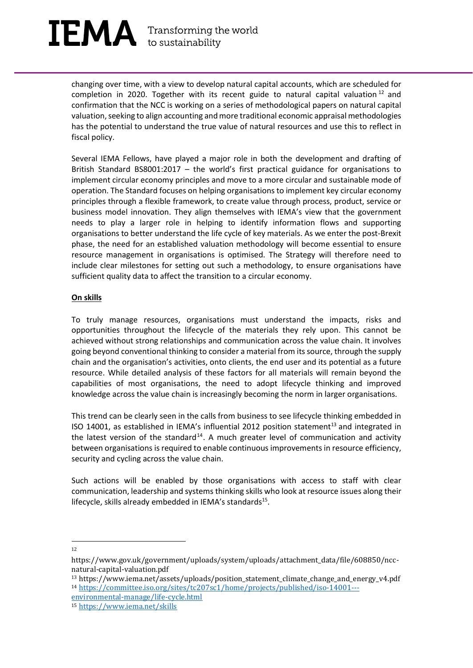# IEMA Transforming the world

changing over time, with a view to develop natural capital accounts, which are scheduled for completion in 2020. Together with its recent guide to natural capital valuation  $12$  and confirmation that the NCC is working on a series of methodological papers on natural capital valuation, seeking to align accounting and more traditional economic appraisal methodologies has the potential to understand the true value of natural resources and use this to reflect in fiscal policy.

Several IEMA Fellows, have played a major role in both the development and drafting of British Standard BS8001:2017 – the world's first practical guidance for organisations to implement circular economy principles and move to a more circular and sustainable mode of operation. The Standard focuses on helping organisations to implement key circular economy principles through a flexible framework, to create value through process, product, service or business model innovation. They align themselves with IEMA's view that the government needs to play a larger role in helping to identify information flows and supporting organisations to better understand the life cycle of key materials. As we enter the post-Brexit phase, the need for an established valuation methodology will become essential to ensure resource management in organisations is optimised. The Strategy will therefore need to include clear milestones for setting out such a methodology, to ensure organisations have sufficient quality data to affect the transition to a circular economy.

### **On skills**

To truly manage resources, organisations must understand the impacts, risks and opportunities throughout the lifecycle of the materials they rely upon. This cannot be achieved without strong relationships and communication across the value chain. It involves going beyond conventional thinking to consider a material from its source, through the supply chain and the organisation's activities, onto clients, the end user and its potential as a future resource. While detailed analysis of these factors for all materials will remain beyond the capabilities of most organisations, the need to adopt lifecycle thinking and improved knowledge across the value chain is increasingly becoming the norm in larger organisations.

This trend can be clearly seen in the calls from business to see lifecycle thinking embedded in ISO 14001, as established in IEMA's influential 2012 position statement<sup>13</sup> and integrated in the latest version of the standard<sup>14</sup>. A much greater level of communication and activity between organisations is required to enable continuous improvements in resource efficiency, security and cycling across the value chain.

Such actions will be enabled by those organisations with access to staff with clear communication, leadership and systems thinking skills who look at resource issues along their lifecycle, skills already embedded in IEMA's standards $^{15}$ .

 $\overline{a}$ 12

[environmental-manage/life-cycle.html](https://committee.iso.org/sites/tc207sc1/home/projects/published/iso-14001---environmental-manage/life-cycle.html)

https://www.gov.uk/government/uploads/system/uploads/attachment\_data/file/608850/nccnatural-capital-valuation.pdf

<sup>13</sup> https://www.iema.net/assets/uploads/position\_statement\_climate\_change\_and\_energy\_v4.pdf <sup>14</sup> [https://committee.iso.org/sites/tc207sc1/home/projects/published/iso-14001---](https://committee.iso.org/sites/tc207sc1/home/projects/published/iso-14001---environmental-manage/life-cycle.html)

<sup>15</sup> <https://www.iema.net/skills>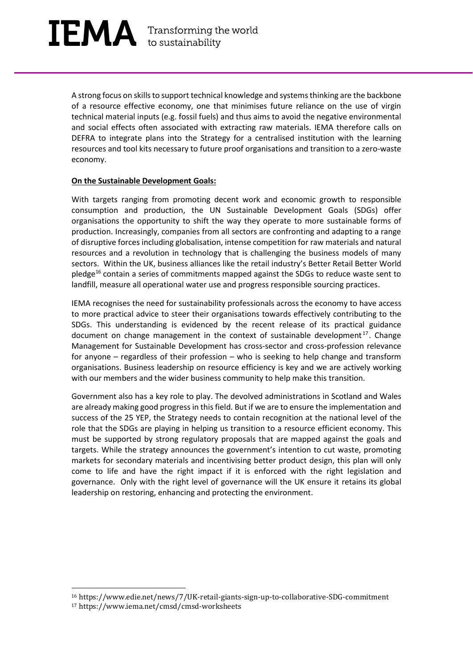A strong focus on skills to support technical knowledge and systems thinking are the backbone of a resource effective economy, one that minimises future reliance on the use of virgin technical material inputs (e.g. fossil fuels) and thus aims to avoid the negative environmental and social effects often associated with extracting raw materials. IEMA therefore calls on DEFRA to integrate plans into the Strategy for a centralised institution with the learning resources and tool kits necessary to future proof organisations and transition to a zero-waste economy.

#### **On the Sustainable Development Goals:**

With targets ranging from promoting decent work and economic growth to responsible consumption and production, the UN Sustainable Development Goals (SDGs) offer organisations the opportunity to shift the way they operate to more sustainable forms of production. Increasingly, companies from all sectors are confronting and adapting to a range of disruptive forces including globalisation, intense competition for raw materials and natural resources and a revolution in technology that is challenging the business models of many sectors. Within the UK, business alliances like the retail industry's Better Retail Better World pledge<sup>16</sup> contain a series of commitments mapped against the SDGs to reduce waste sent to landfill, measure all operational water use and progress responsible sourcing practices.

IEMA recognises the need for sustainability professionals across the economy to have access to more practical advice to steer their organisations towards effectively contributing to the SDGs. This understanding is evidenced by the recent release of its practical guidance document on change management in the context of sustainable development<sup>17</sup>. Change Management for Sustainable Development has cross-sector and cross-profession relevance for anyone – regardless of their profession – who is seeking to help change and transform organisations. Business leadership on resource efficiency is key and we are actively working with our members and the wider business community to help make this transition.

Government also has a key role to play. The devolved administrations in Scotland and Wales are already making good progress in this field. But if we are to ensure the implementation and success of the 25 YEP, the Strategy needs to contain recognition at the national level of the role that the SDGs are playing in helping us transition to a resource efficient economy. This must be supported by strong regulatory proposals that are mapped against the goals and targets. While the strategy announces the government's intention to cut waste, promoting markets for secondary materials and incentivising better product design, this plan will only come to life and have the right impact if it is enforced with the right legislation and governance. Only with the right level of governance will the UK ensure it retains its global leadership on restoring, enhancing and protecting the environment.

l

<sup>16</sup> https://www.edie.net/news/7/UK-retail-giants-sign-up-to-collaborative-SDG-commitment

<sup>17</sup> https://www.iema.net/cmsd/cmsd-worksheets